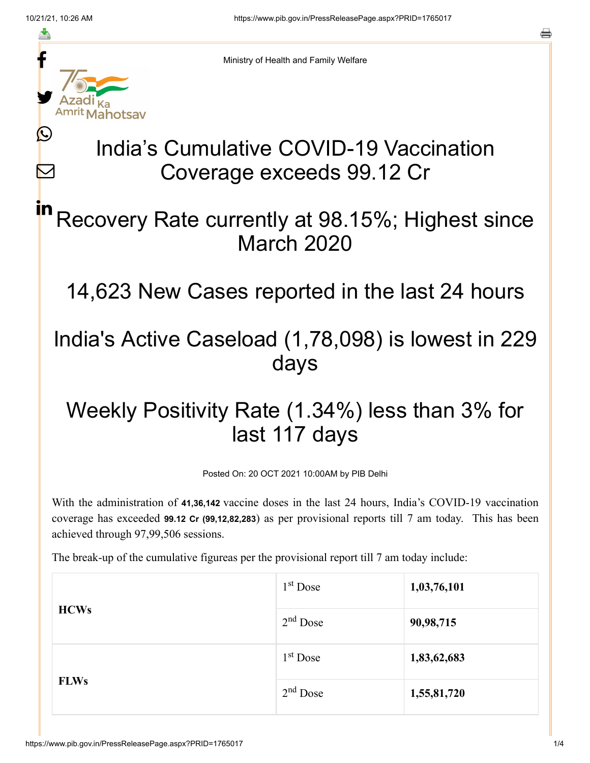≛

 $\bm{\nabla}$ 

o



Ministry of Health and Family Welfare

# India's Cumulative COVID-19 Vaccination Coverage exceeds 99.12 Cr

#### Recovery Rate currently at 98.15%; Highest since March 2020 in

14,623 New Cases reported in the last 24 hours

### India's Active Caseload (1,78,098) is lowest in 229 days

## Weekly Positivity Rate (1.34%) less than 3% for last 117 days

Posted On: 20 OCT 2021 10:00AM by PIB Delhi

With the administration of **41,36,142** vaccine doses in the last 24 hours, India's COVID-19 vaccination coverage has exceeded **99.12 Cr (99,12,82,283**) as per provisional reports till 7 am today. This has been achieved through 97,99,506 sessions.

The break-up of the cumulative figureas per the provisional report till 7 am today include:

| <b>HCWs</b> | $1st$ Dose | 1,03,76,101 |
|-------------|------------|-------------|
|             | $2nd$ Dose | 90,98,715   |
|             | $1st$ Dose | 1,83,62,683 |
| <b>FLWs</b> | $2nd$ Dose | 1,55,81,720 |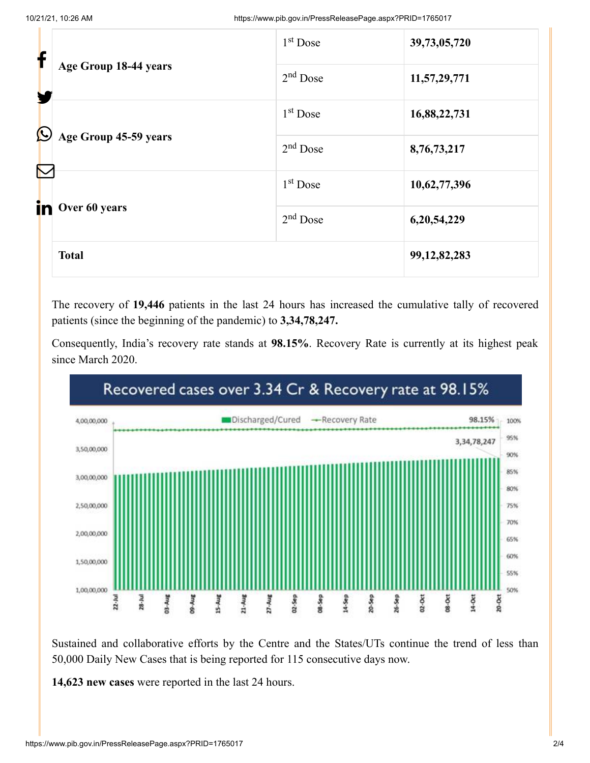| f                 | Age Group 18-44 years | 1 <sup>st</sup> Dose | 39,73,05,720    |
|-------------------|-----------------------|----------------------|-----------------|
|                   |                       | $2nd$ Dose           | 11,57,29,771    |
| $\bigcirc$        |                       | 1 <sup>st</sup> Dose | 16,88,22,731    |
| $\color{red}\sum$ | Age Group 45-59 years | $2nd$ Dose           | 8,76,73,217     |
| in.               |                       | 1 <sup>st</sup> Dose | 10,62,77,396    |
|                   | Over 60 years         | $2nd$ Dose           | 6,20,54,229     |
|                   | <b>Total</b>          |                      | 99, 12, 82, 283 |

The recovery of **19,446** patients in the last 24 hours has increased the cumulative tally of recovered patients (since the beginning of the pandemic) to **3,34,78,247.**

Consequently, India's recovery rate stands at **98.15%**. Recovery Rate is currently at its highest peak since March 2020.



Sustained and collaborative efforts by the Centre and the States/UTs continue the trend of less than 50,000 Daily New Cases that is being reported for 115 consecutive days now.

**14,623 new cases** were reported in the last 24 hours.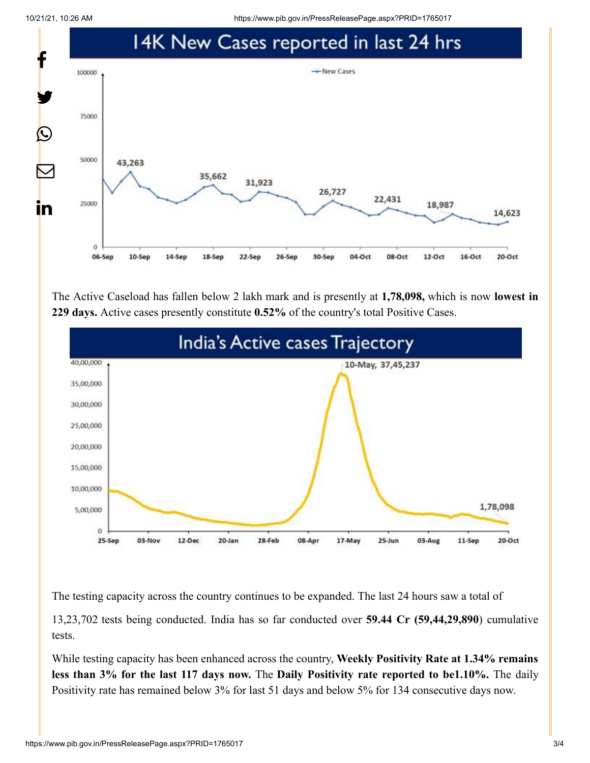10/21/21, 10:26 AM https://www.pib.gov.in/PressReleasePage.aspx?PRID=1765017



The Active Caseload has fallen below 2 lakh mark and is presently at **1,78,098,** which is now **lowest in 229 days.** Active cases presently constitute **0.52%** of the country's total Positive Cases.



The testing capacity across the country continues to be expanded. The last 24 hours saw a total of

13,23,702 tests being conducted. India has so far conducted over **59.44 Cr (59,44,29,890**) cumulative tests.

While testing capacity has been enhanced across the country, **Weekly Positivity Rate at 1.34% remains less than 3% for the last 117 days now.** The **Daily Positivity rate reported to be1.10%.** The daily Positivity rate has remained below 3% for last 51 days and below 5% for 134 consecutive days now.